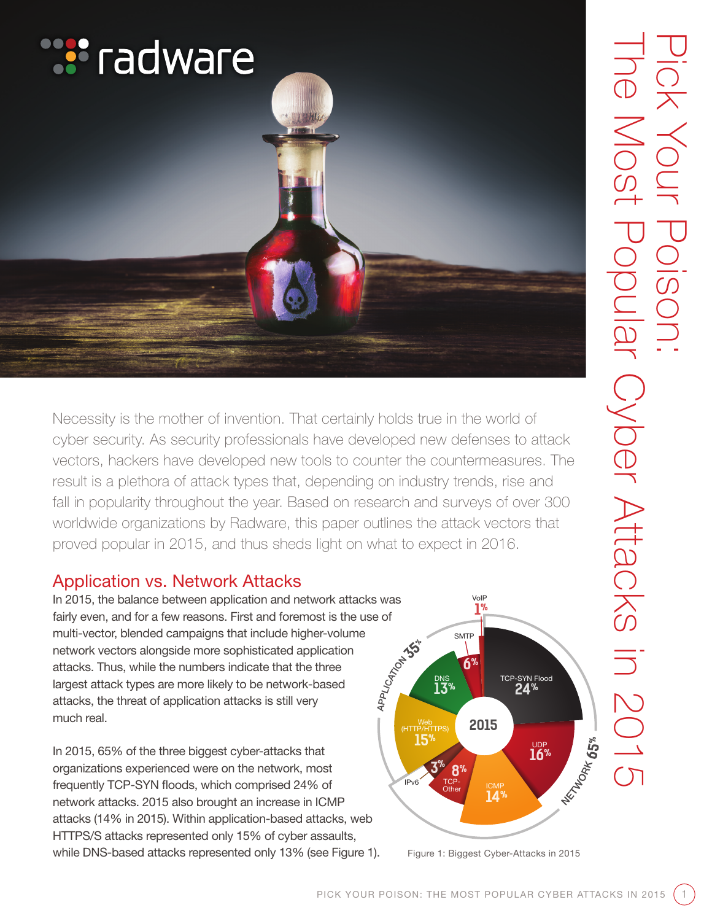

Necessity is the mother of invention. That certainly holds true in the world of cyber security. As security professionals have developed new defenses to attack vectors, hackers have developed new tools to counter the countermeasures. The result is a plethora of attack types that, depending on industry trends, rise and fall in popularity throughout the year. Based on research and surveys of over 300 worldwide organizations by Radware, this paper outlines the attack vectors that proved popular in 2015, and thus sheds light on what to expect in 2016.

# Application vs. Network Attacks

In 2015, the balance between application and network attacks was fairly even, and for a few reasons. First and foremost is the use of multi-vector, blended campaigns that include higher-volume network vectors alongside more sophisticated application attacks. Thus, while the numbers indicate that the three largest attack types are more likely to be network-based attacks, the threat of application attacks is still very much real.

In 2015, 65% of the three biggest cyber-attacks that organizations experienced were on the network, most frequently TCP-SYN floods, which comprised 24% of network attacks. 2015 also brought an increase in ICMP attacks (14% in 2015). Within application-based attacks, web HTTPS/S attacks represented only 15% of cyber assaults, while DNS-based attacks represented only 13% (see Figure 1).

![](_page_0_Figure_5.jpeg)

Figure 1: Biggest Cyber-Attacks in 2015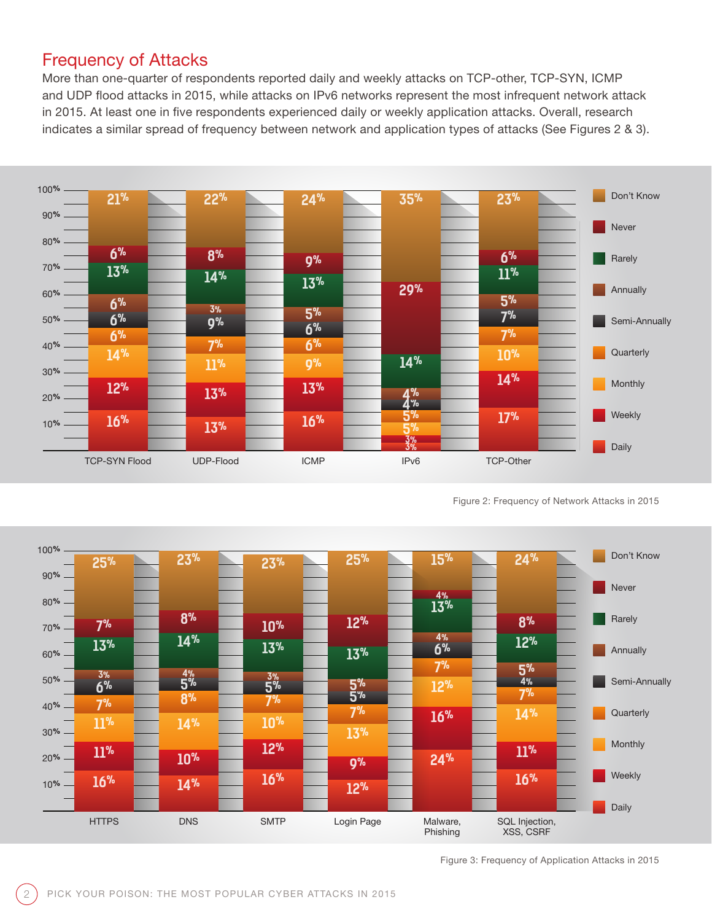#### Frequency of Attacks

More than one-quarter of respondents reported daily and weekly attacks on TCP-other, TCP-SYN, ICMP and UDP flood attacks in 2015, while attacks on IPv6 networks represent the most infrequent network attack in 2015. At least one in five respondents experienced daily or weekly application attacks. Overall, research indicates a similar spread of frequency between network and application types of attacks (See Figures 2 & 3).

![](_page_1_Figure_2.jpeg)

Figure 2: Frequency of Network Attacks in 2015

![](_page_1_Figure_4.jpeg)

Figure 3: Frequency of Application Attacks in 2015